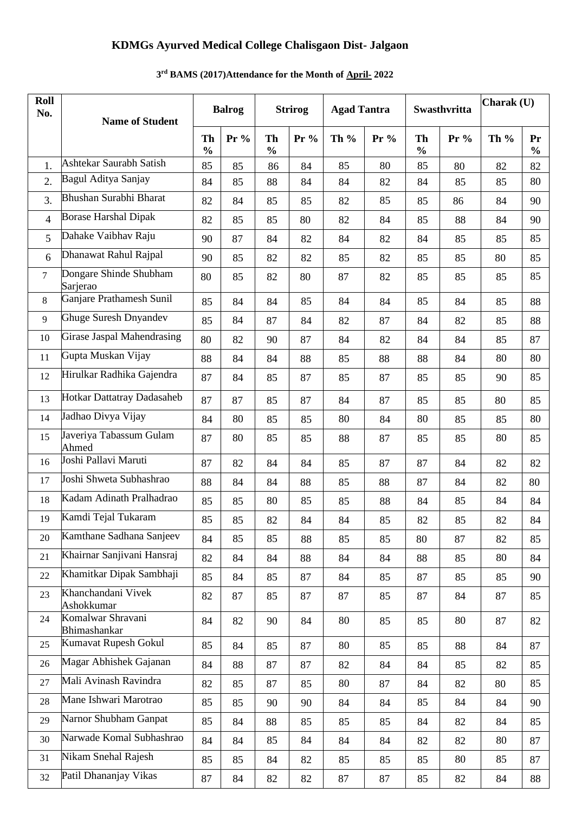### **KDMGs Ayurved Medical College Chalisgaon Dist- Jalgaon**

## **Roll No. Name of Student Balrog Strirog Agad Tantra Swasthvritta Charak (U) Th % Pr % Th % Pr % Th % Pr % Th % Pr % Th % Pr %** 1. Ashtekar Saurabh Satish | 85 | 85 | 86 | 84 | 85 | 80 | 85 | 80 | 82 | 82 2. Bagul Aditya Sanjay 84 85 88 84 84 82 84 85 85 80 3. Bhushan Surabhi Bharat | 82 | 84 | 85 | 85 | 85 | 85 | 85 | 86 | 84 | 90 4 Borase Harshal Dipak 82 85 85 80 82 84 85 88 84 90 5 Dahake Vaibhav Raju | 90 | 87 | 84 | 82 | 84 | 82 | 84 | 85 | 85 | 85 6 Dhanawat Rahul Rajpal 90 85 82 82 85 82 85 85 80 85 7 Dongare Shinde Shubham Sarjerao 80 | 85 | 82 | 80 | 87 | 82 | 85 | 85 | 85 | 85 8 Ganjare Prathamesh Sunil 85 84 84 85 84 84 85 84 85 88 9 Ghuge Suresh Dnyandev | 85 | 84 | 87 | 84 | 82 | 84 | 82 | 85 | 88 10 Girase Jaspal Mahendrasing 80 82 90 87 84 82 84 84 85 87 11 Gupta Muskan Vijay | 88 | 84 | 84 | 88 | 87 | 88 | 88 | 84 | 80 | 80 12 Hirulkar Radhika Gajendra | 87 | 84 | 85 | 87 | 85 | 87 | 87 | 85 | 85 | 90 | 85 13 Hotkar Dattatray Dadasaheb 87 87 85 87 84 87 87 85 85 80 85 14 Jadhao Divya Vijay 84 80 85 85 80 84 80 85 85 80 15 Javeriya Tabassum Gulam Ahmed 87 | 80 | 85 | 85 | 88 | 87 | 85 | 85 | 80 | 85 16 Joshi Pallavi Maruti | 87 | 82 | 84 | 84 | 85 | 87 | 87 | 84 | 82 | 82 17 Joshi Shweta Subhashrao | 88 | 84 | 84 | 88 | 85 | 88 | 87 | 84 | 82 | 80 18 Kadam Adinath Pralhadrao | 85 | 85 | 86 | 85 | 86 | 87 | 87 | 84 | 84 19 Kamdi Tejal Tukaram | 85 | 85 | 82 | 84 | 84 | 85 | 82 | 83 | 84 | 85 | 82 | 84 20 Kamthane Sadhana Sanjeev 84 85 85 88 85 85 80 87 82 85 21 Khairnar Sanjivani Hansraj | 82 | 84 | 84 | 88 | 84 | 84 | 88 | 85 | 80 | 84 22 Khamitkar Dipak Sambhaji | 85 | 84 | 85 | 87 | 84 | 85 | 87 | 85 | 85 | 90 23 Khanchandani Vivek Ashokkumar 82 | 87 | 85 | 87 | 85 | 87 | 84 | 87 | 85 24 Komalwar Shravani Bhimashankar 84 | 82 | 90 | 84 | 80 | 85 | 85 | 80 | 87 | 82 25 Kumavat Rupesh Gokul | 85 | 84 | 85 | 87 | 80 | 85 | 85 | 88 | 84 | 87 26 Magar Abhishek Gajanan | 84 | 88 | 87 | 87 | 82 | 84 | 84 | 85 | 82 | 85 27 Mali Avinash Ravindra 82 85 87 85 80 87 84 82 80 85 28 Mane Ishwari Marotrao 85 85 90 90 84 84 85 84 84 90 29 Narnor Shubham Ganpat | 85 | 84 | 88 | 85 | 85 | 85 | 84 | 82 | 84 | 85 30 Narwade Komal Subhashrao | 84 | 84 | 85 | 84 | 84 | 84 | 82 | 82 | 80 | 87 31 Nikam Snehal Rajesh 85 85 85 84 82 85 85 85 86 87 32 Patil Dhananjay Vikas 87 84 82 82 87 87 85 82 84 88

#### **3 rd BAMS (2017)Attendance for the Month of April- 2022**